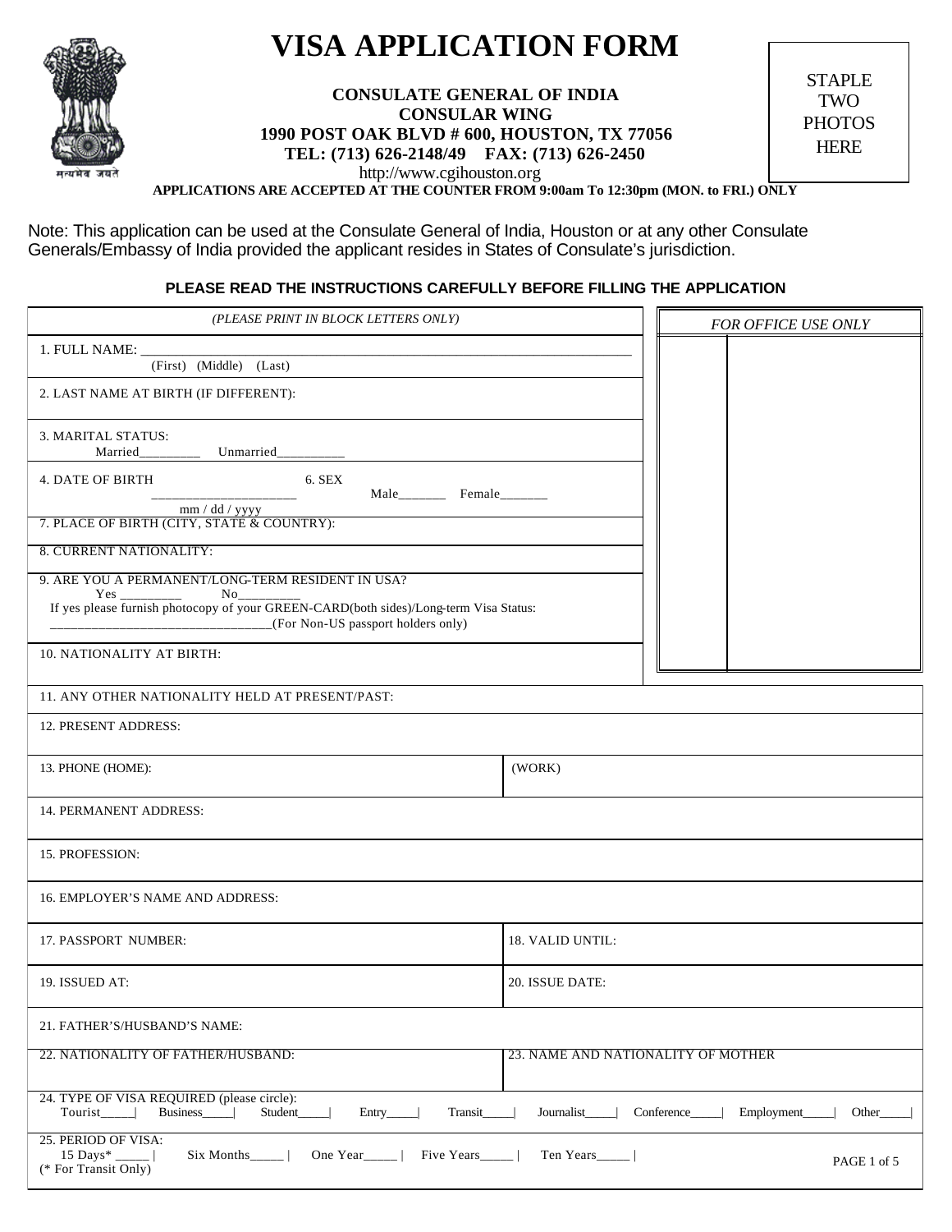

## **VISA APPLICATION FORM**

**CONSULATE GENERAL OF INDIA CONSULAR WING 1990 POST OAK BLVD # 600, HOUSTON, TX 77056 TEL: (713) 626-2148/49 FAX: (713) 626-2450** http://www.cgihouston.org

STAPLE TWO **PHOTOS HERE** 

**APPLICATIONS ARE ACCEPTED AT THE COUNTER FROM 9:00am To 12:30pm (MON. to FRI.) ONLY**

Note: This application can be used at the Consulate General of India, Houston or at any other Consulate Generals/Embassy of India provided the applicant resides in States of Consulate's jurisdiction.

## **PLEASE READ THE INSTRUCTIONS CAREFULLY BEFORE FILLING THE APPLICATION**

| (PLEASE PRINT IN BLOCK LETTERS ONLY)                                                                                                                       | FOR OFFICE USE ONLY                |  |
|------------------------------------------------------------------------------------------------------------------------------------------------------------|------------------------------------|--|
| 1. FULL NAME:                                                                                                                                              |                                    |  |
| (First) (Middle) (Last)                                                                                                                                    |                                    |  |
| 2. LAST NAME AT BIRTH (IF DIFFERENT):                                                                                                                      |                                    |  |
| 3. MARITAL STATUS:<br>Married<br>Unmarried                                                                                                                 |                                    |  |
| 6. SEX<br>4. DATE OF BIRTH<br>Male Female                                                                                                                  |                                    |  |
| mm / dd / yyyy<br>7. PLACE OF BIRTH (CITY, STATE & COUNTRY):                                                                                               |                                    |  |
| 8. CURRENT NATIONALITY:                                                                                                                                    |                                    |  |
| 9. ARE YOU A PERMANENT/LONG-TERM RESIDENT IN USA?<br>Yes<br>$No_$<br>$\overline{\phantom{a}}$                                                              |                                    |  |
| If yes please furnish photocopy of your GREEN-CARD(both sides)/Long-term Visa Status:<br>_______________________________(For Non-US passport holders only) |                                    |  |
| 10. NATIONALITY AT BIRTH:                                                                                                                                  |                                    |  |
| 11. ANY OTHER NATIONALITY HELD AT PRESENT/PAST:                                                                                                            |                                    |  |
| 12. PRESENT ADDRESS:                                                                                                                                       |                                    |  |
| 13. PHONE (HOME):                                                                                                                                          | (WORK)                             |  |
| 14. PERMANENT ADDRESS:                                                                                                                                     |                                    |  |
| 15. PROFESSION:                                                                                                                                            |                                    |  |
| 16. EMPLOYER'S NAME AND ADDRESS:                                                                                                                           |                                    |  |
| 17. PASSPORT NUMBER:                                                                                                                                       | 18. VALID UNTIL:                   |  |
| 19. ISSUED AT:                                                                                                                                             | 20. ISSUE DATE:                    |  |
| 21. FATHER'S/HUSBAND'S NAME:                                                                                                                               |                                    |  |
| 22. NATIONALITY OF FATHER/HUSBAND:                                                                                                                         | 23. NAME AND NATIONALITY OF MOTHER |  |
| 24. TYPE OF VISA REQUIRED (please circle):<br><b>Business</b><br>Journalist<br>Conference<br>Employment_<br>Other<br>Student_<br>Transit                   |                                    |  |
| 25. PERIOD OF VISA:<br>15 Days* _______  <br>One Year   Five Years  <br>Six Months  <br>PAGE 1 of 5<br>(* For Transit Only)                                |                                    |  |